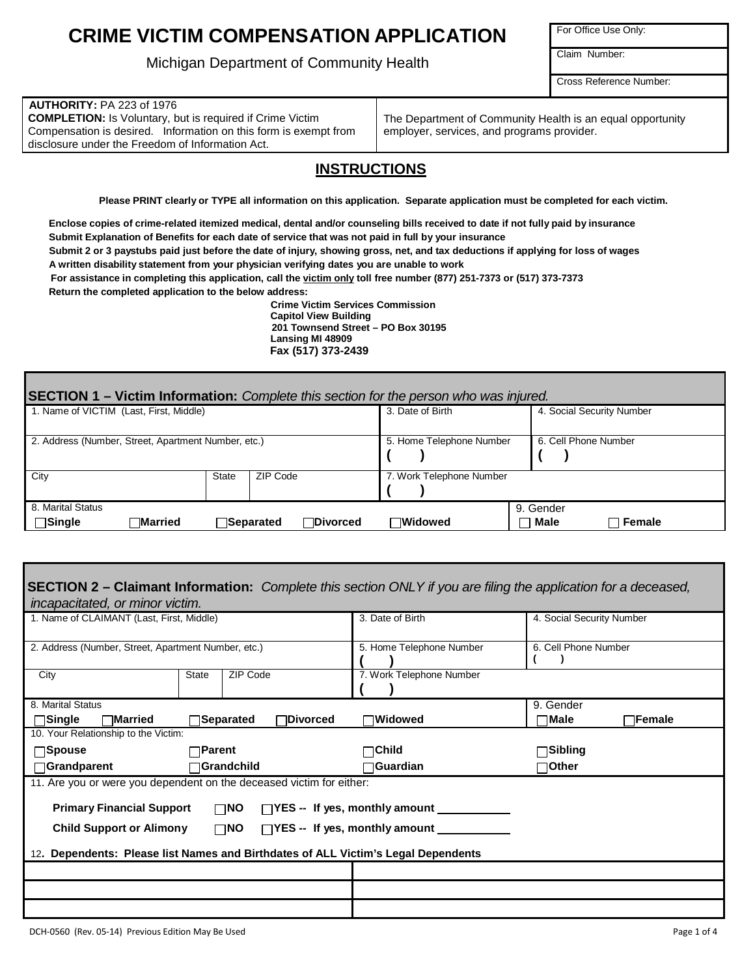# **CRIME VICTIM COMPENSATION APPLICATION**

Michigan Department of Community Health

For Office Use Only:

Claim Number:

Cross Reference Number:

#### **AUTHORITY:** PA 223 of 1976

**COMPLETION:** Is Voluntary, but is required if Crime Victim Compensation is desired. Information on this form is exempt from disclosure under the Freedom of Information Act.

The Department of Community Health is an equal opportunity employer, services, and programs provider.

### **INSTRUCTIONS**

Please PRINT clearly or TYPE all information on this application. Separate application must be completed for each victim.

**Enclose copies of crime-related itemized medical, dental and/or counseling bills received to date if not fully paid by insurance Submit Explanation of Benefits for each date of service that was not paid in full by your insurance** Submit 2 or 3 paystubs paid just before the date of injury, showing gross, net, and tax deductions if applying for loss of wages

**A written disability statement from your physician verifying dates you are unable to work**

**For assistance in completing this application, call the victim only toll free number (877) 251-7373 or (517) 373-7373**

**Return the completed application to the below address:**

**Crime Victim Services Commission Capitol View Building 201 Townsend Street – PO Box 30195 Lansing MI 48909 Fax (517) 373-2439**

| <b>SECTION 1 – Victim Information:</b> Complete this section for the person who was injured. |              |                                       |                          |                               |
|----------------------------------------------------------------------------------------------|--------------|---------------------------------------|--------------------------|-------------------------------|
| 1. Name of VICTIM (Last, First, Middle)                                                      |              |                                       | 3. Date of Birth         | 4. Social Security Number     |
| 2. Address (Number, Street, Apartment Number, etc.)                                          |              |                                       | 5. Home Telephone Number | 6. Cell Phone Number          |
| City                                                                                         | <b>State</b> | ZIP Code                              | 7. Work Telephone Number |                               |
| 8. Marital Status<br>$\Box$ Single<br>™arried                                                |              | <b>∃Divorced</b><br><b>∃Separated</b> | $\lnot$ Widowed          | 9. Gender<br>Male<br>∃ Female |
|                                                                                              |              |                                       |                          |                               |

| <b>SECTION 2 – Claimant Information:</b> Complete this section ONLY if you are filing the application for a deceased, |                          |                          |                          |                           |         |
|-----------------------------------------------------------------------------------------------------------------------|--------------------------|--------------------------|--------------------------|---------------------------|---------|
| incapacitated, or minor victim.<br>1. Name of CLAIMANT (Last, First, Middle)                                          |                          |                          | 3. Date of Birth         | 4. Social Security Number |         |
| 2. Address (Number, Street, Apartment Number, etc.)                                                                   |                          | 5. Home Telephone Number | 6. Cell Phone Number     |                           |         |
| City                                                                                                                  | ZIP Code<br><b>State</b> |                          | 7. Work Telephone Number |                           |         |
| 8. Marital Status                                                                                                     |                          |                          |                          | 9. Gender                 |         |
| <b>Single</b><br>่ ⊣Married                                                                                           | <b>Separated</b>         | $\Box$ Divorced          | $\lnot$ Widowed          | $\lnot$ Male              | ∃Female |
| 10. Your Relationship to the Victim:                                                                                  |                          |                          |                          |                           |         |
| $\Box$ Spouse                                                                                                         | $\Box$ Parent            |                          | – Child                  | ⊟Sibling                  |         |
| <b>Orandparent</b><br>$\sqcap$ Grandchild                                                                             |                          | $\Box$ Guardian          | ⊤Other                   |                           |         |
| 11. Are you or were you dependent on the deceased victim for either:                                                  |                          |                          |                          |                           |         |
| <b>Primary Financial Support</b><br>$\square$ NO<br>□YES -- If yes, monthly amount                                    |                          |                          |                          |                           |         |
| <b>Child Support or Alimony</b><br>$\Box$ NO<br>$\Box$ YES -- If yes, monthly amount $\Box$                           |                          |                          |                          |                           |         |
| Dependents: Please list Names and Birthdates of ALL Victim's Legal Dependents<br>12.                                  |                          |                          |                          |                           |         |
|                                                                                                                       |                          |                          |                          |                           |         |
|                                                                                                                       |                          |                          |                          |                           |         |
|                                                                                                                       |                          |                          |                          |                           |         |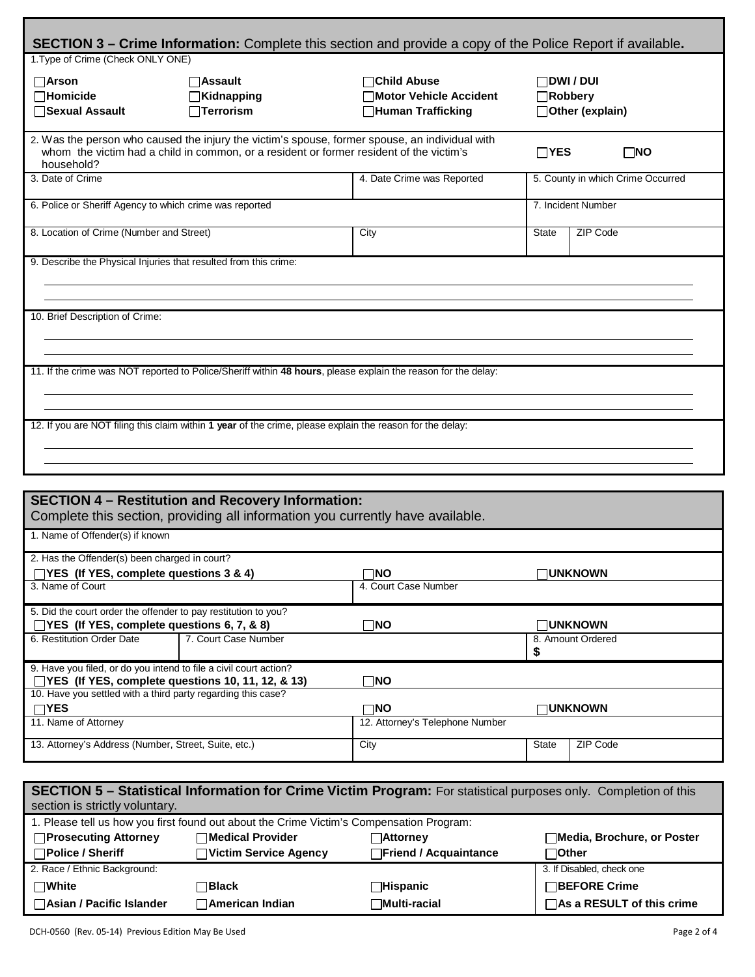| <b>SECTION 3 – Crime Information:</b> Complete this section and provide a copy of the Police Report if available.                                                                                                                     |                                                                                                                                            |                                                                           |                                                   |                                     |  |
|---------------------------------------------------------------------------------------------------------------------------------------------------------------------------------------------------------------------------------------|--------------------------------------------------------------------------------------------------------------------------------------------|---------------------------------------------------------------------------|---------------------------------------------------|-------------------------------------|--|
| 1. Type of Crime (Check ONLY ONE)                                                                                                                                                                                                     |                                                                                                                                            |                                                                           |                                                   |                                     |  |
| $\Box$ Arson<br>$\Box$ Homicide<br>□Sexual Assault                                                                                                                                                                                    | $\bigcap$ Assault<br><b>Kidnapping</b><br>$\Box$ Terrorism                                                                                 | $\Box$ Child Abuse<br><b>Notor Vehicle Accident</b><br>□Human Trafficking | $\Box$ dwi / dui<br>∏Robbery<br>□ Other (explain) |                                     |  |
| 2. Was the person who caused the injury the victim's spouse, former spouse, an individual with<br>whom the victim had a child in common, or a resident or former resident of the victim's<br>$\Box$ YES<br>$\square$ NO<br>household? |                                                                                                                                            |                                                                           |                                                   |                                     |  |
| 3. Date of Crime                                                                                                                                                                                                                      |                                                                                                                                            |                                                                           | 5. County in which Crime Occurred                 |                                     |  |
| 6. Police or Sheriff Agency to which crime was reported                                                                                                                                                                               |                                                                                                                                            |                                                                           |                                                   | 7. Incident Number                  |  |
| 8. Location of Crime (Number and Street)                                                                                                                                                                                              |                                                                                                                                            | City                                                                      | <b>State</b>                                      | ZIP Code                            |  |
| 9. Describe the Physical Injuries that resulted from this crime:<br>10. Brief Description of Crime:                                                                                                                                   |                                                                                                                                            |                                                                           |                                                   |                                     |  |
| 11. If the crime was NOT reported to Police/Sheriff within 48 hours, please explain the reason for the delay:                                                                                                                         |                                                                                                                                            |                                                                           |                                                   |                                     |  |
| 12. If you are NOT filing this claim within 1 year of the crime, please explain the reason for the delay:                                                                                                                             |                                                                                                                                            |                                                                           |                                                   |                                     |  |
|                                                                                                                                                                                                                                       | <b>SECTION 4 - Restitution and Recovery Information:</b><br>Complete this section, providing all information you currently have available. |                                                                           |                                                   |                                     |  |
| 1. Name of Offender(s) if known                                                                                                                                                                                                       |                                                                                                                                            |                                                                           |                                                   |                                     |  |
| 2. Has the Offender(s) been charged in court?<br>TYES (If YES, complete questions 3 & 4)<br>ΠNΟ<br>⊓UNKNOWN<br>3. Name of Court<br>4. Court Case Number                                                                               |                                                                                                                                            |                                                                           |                                                   |                                     |  |
| 5. Did the court order the offender to pay restitution to you?<br>□YES (If YES, complete questions 6, 7, & 8)<br>6. Restitution Order Date                                                                                            | 7. Court Case Number                                                                                                                       | $\Box$ NO                                                                 | \$                                                | $\Box$ unknown<br>8. Amount Ordered |  |

| 9. Have you filed, or do you intend to file a civil court action? |                                 |                |
|-------------------------------------------------------------------|---------------------------------|----------------|
| $\Box$ YES (If YES, complete questions 10, 11, 12, & 13)          | ∃NO                             |                |
| 10. Have you settled with a third party regarding this case?      |                                 |                |
| $\neg$ YES                                                        | ר⊓O                             | $\Box$ unknown |
|                                                                   |                                 |                |
| 11. Name of Attorney                                              | 12. Attorney's Telephone Number |                |

| SECTION 5 – Statistical Information for Crime Victim Program: For statistical purposes only. Completion of this |                                                                       |                              |                             |  |  |
|-----------------------------------------------------------------------------------------------------------------|-----------------------------------------------------------------------|------------------------------|-----------------------------|--|--|
| section is strictly voluntary.                                                                                  |                                                                       |                              |                             |  |  |
| 1. Please tell us how you first found out about the Crime Victim's Compensation Program:                        |                                                                       |                              |                             |  |  |
| □Prosecuting Attorney                                                                                           | $\sqcap$ Medical Provider<br>□Media, Brochure, or Poster<br>⊟Attornev |                              |                             |  |  |
| $\Box$ Police / Sheriff                                                                                         | <b>Nictim Service Agency</b>                                          | <b>Triend / Acquaintance</b> | ⊓Other                      |  |  |
| 2. Race / Ethnic Background:                                                                                    |                                                                       |                              | 3. If Disabled, check one   |  |  |
| $\square$ White                                                                                                 | <b>่</b> าBlack                                                       | $\Box$ Hispanic              | □BEFORE Crime               |  |  |
| □ Asian / Pacific Islander                                                                                      | <b>Namerican Indian</b>                                               | <b>Nulti-racial</b>          | □ As a RESULT of this crime |  |  |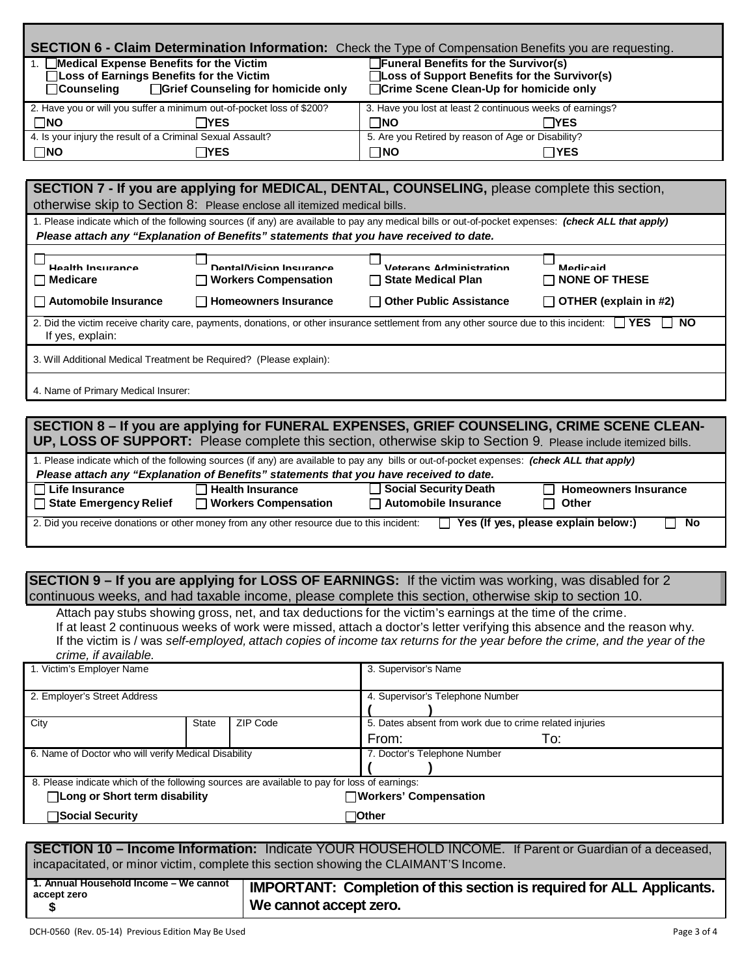| SECTION 6 - Claim Determination Information: Check the Type of Compensation Benefits you are requesting.                                                                                                                              |                                                                                                                                                                                                                                                         |  |
|---------------------------------------------------------------------------------------------------------------------------------------------------------------------------------------------------------------------------------------|---------------------------------------------------------------------------------------------------------------------------------------------------------------------------------------------------------------------------------------------------------|--|
| 1. Medical Expense Benefits for the Victim<br>□ Loss of Earnings Benefits for the Victim<br>$\Box$ Counseling<br>□Grief Counseling for homicide only                                                                                  | Funeral Benefits for the Survivor(s)<br>□Loss of Support Benefits for the Survivor(s)<br>□Crime Scene Clean-Up for homicide only                                                                                                                        |  |
| 2. Have you or will you suffer a minimum out-of-pocket loss of \$200?<br>$\Box$ NO<br><b>IYES</b>                                                                                                                                     | 3. Have you lost at least 2 continuous weeks of earnings?<br>$\square$ NO<br>$\sqcap$ YES                                                                                                                                                               |  |
| 4. Is your injury the result of a Criminal Sexual Assault?                                                                                                                                                                            | 5. Are you Retired by reason of Age or Disability?                                                                                                                                                                                                      |  |
| $\square$ NO<br>$\sqcap$ YES                                                                                                                                                                                                          | $\Box$ NO<br>$\sqcap$ YES                                                                                                                                                                                                                               |  |
|                                                                                                                                                                                                                                       |                                                                                                                                                                                                                                                         |  |
| SECTION 7 - If you are applying for MEDICAL, DENTAL, COUNSELING, please complete this section,                                                                                                                                        |                                                                                                                                                                                                                                                         |  |
| otherwise skip to Section 8: Please enclose all itemized medical bills.                                                                                                                                                               |                                                                                                                                                                                                                                                         |  |
| 1. Please indicate which of the following sources (if any) are available to pay any medical bills or out-of-pocket expenses: (check ALL that apply)                                                                                   |                                                                                                                                                                                                                                                         |  |
| Please attach any "Explanation of Benefits" statements that you have received to date.                                                                                                                                                |                                                                                                                                                                                                                                                         |  |
| Health Insurance<br>Dental/Vision Insurance<br><b>Medicare</b><br><b>Workers Compensation</b>                                                                                                                                         | Veterans Administration<br>Medicaid<br><b>State Medical Plan</b><br><b>NONE OF THESE</b>                                                                                                                                                                |  |
| <b>Automobile Insurance</b><br><b>Homeowners Insurance</b>                                                                                                                                                                            | <b>Other Public Assistance</b><br>OTHER (explain in #2)                                                                                                                                                                                                 |  |
| 2. Did the victim receive charity care, payments, donations, or other insurance settlement from any other source due to this incident:<br>If yes, explain:                                                                            | <b>IYES</b><br><b>NO</b>                                                                                                                                                                                                                                |  |
| 3. Will Additional Medical Treatment be Required? (Please explain):                                                                                                                                                                   |                                                                                                                                                                                                                                                         |  |
| 4. Name of Primary Medical Insurer:                                                                                                                                                                                                   |                                                                                                                                                                                                                                                         |  |
|                                                                                                                                                                                                                                       |                                                                                                                                                                                                                                                         |  |
|                                                                                                                                                                                                                                       | SECTION 8 - If you are applying for FUNERAL EXPENSES, GRIEF COUNSELING, CRIME SCENE CLEAN-<br>UP, LOSS OF SUPPORT: Please complete this section, otherwise skip to Section 9. Please include itemized bills.                                            |  |
| 1. Please indicate which of the following sources (if any) are available to pay any bills or out-of-pocket expenses: (check ALL that apply)<br>Please attach any "Explanation of Benefits" statements that you have received to date. |                                                                                                                                                                                                                                                         |  |
| $\Box$ Life Insurance<br><b>Health Insurance</b><br><b>State Emergency Relief</b><br>□ Workers Compensation                                                                                                                           | <b>Social Security Death</b><br><b>Homeowners Insurance</b><br>$\Box$ Automobile Insurance<br><b>Other</b>                                                                                                                                              |  |
| 2. Did you receive donations or other money from any other resource due to this incident:                                                                                                                                             | No<br>$\Box$ Yes (If yes, please explain below:)                                                                                                                                                                                                        |  |
|                                                                                                                                                                                                                                       |                                                                                                                                                                                                                                                         |  |
| SECTION 9 - If you are applying for LOSS OF EARNINGS: If the victim was working, was disabled for 2<br>continuous weeks, and had taxable income, please complete this section, otherwise skip to section 10.                          |                                                                                                                                                                                                                                                         |  |
| Attach pay stubs showing gross, net, and tax deductions for the victim's earnings at the time of the crime.<br>crime, if available.                                                                                                   | If at least 2 continuous weeks of work were missed, attach a doctor's letter verifying this absence and the reason why.<br>If the victim is / was self-employed, attach copies of income tax returns for the year before the crime, and the year of the |  |
| 1. Victim's Employer Name                                                                                                                                                                                                             | 3. Supervisor's Name                                                                                                                                                                                                                                    |  |

| 1. Victim's Employer Name                                                                    |                   |  | 3. Supervisor's Name                                    |
|----------------------------------------------------------------------------------------------|-------------------|--|---------------------------------------------------------|
| 2. Employer's Street Address                                                                 |                   |  | 4. Supervisor's Telephone Number                        |
| City                                                                                         | ZIP Code<br>State |  | 5. Dates absent from work due to crime related injuries |
|                                                                                              |                   |  | To:<br>From:                                            |
| 6. Name of Doctor who will verify Medical Disability                                         |                   |  | 7. Doctor's Telephone Number                            |
| 8. Please indicate which of the following sources are available to pay for loss of earnings: |                   |  |                                                         |
| □Long or Short term disability                                                               |                   |  | $\Box$ Workers' Compensation                            |
| <b>∃Social Security</b>                                                                      |                   |  | ∃Other                                                  |
|                                                                                              |                   |  |                                                         |

**SECTION 10 – Income Information:** Indicate YOUR HOUSEHOLD INCOME. If Parent or Guardian of a deceased, incapacitated, or minor victim, complete this section showing the CLAIMANT'S Income.

| 1. Annual Household Income – We cannot<br>accept zero | IMPORTANT: Completion of this section is required for ALL Applicants. |
|-------------------------------------------------------|-----------------------------------------------------------------------|
|                                                       | We cannot accept zero.                                                |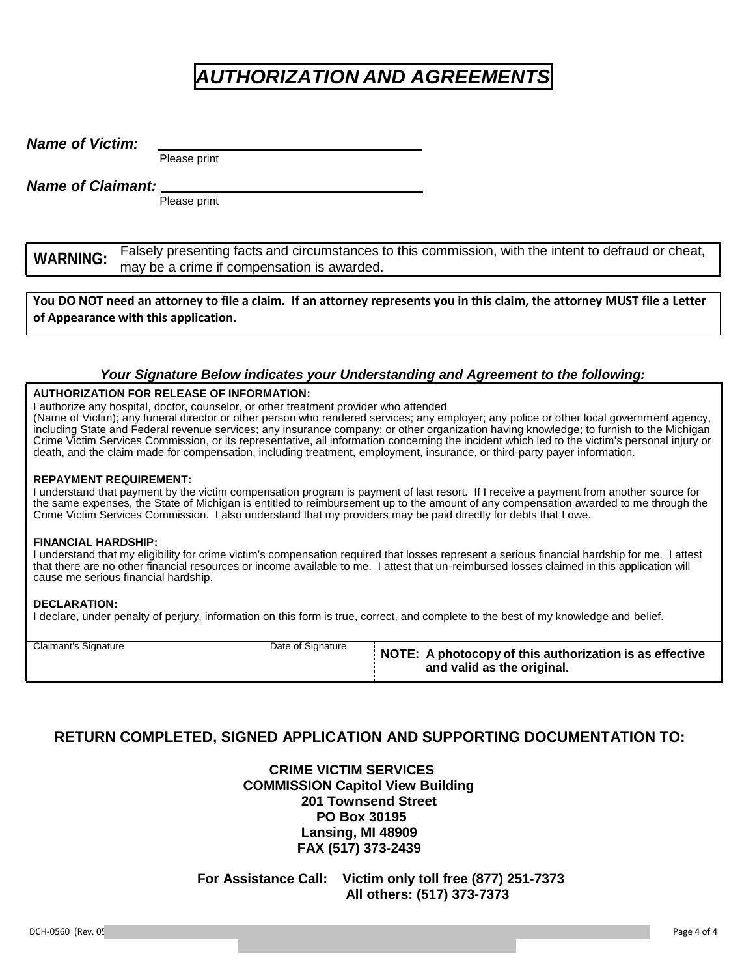# *AUTHORIZATION AND AGREEMENTS*

*Name of Victim:*

Please print

*Name of Claimant:* 

Please print

**WARNING:** Falsely presenting facts and circumstances to this commission, with the intent to defraud or cheat, may be a crime if compensation is awarded.

You DO NOT need an attorney to file a claim. If an attorney represents you in this claim, the attorney MUST file a Letter **of Appearance with this application.**

### *Your Signature Below indicates your Understanding and Agreement to the following:*

#### **AUTHORIZATION FOR RELEASE OF INFORMATION:**

I authorize any hospital, doctor, counselor, or other treatment provider who attended

(Name of Victim); any funeral director or other person who rendered services; any employer; any police or other local government agency, including State and Federal revenue services; any insurance company; or other organization having knowledge; to furnish to the Michigan Crime Victim Services Commission, or its representative, all information concerning the incident which led to the victim's personal injury or death, and the claim made for compensation, including treatment, employment, insurance, or third-party payer information.

#### **REPAYMENT REQUIREMENT:**

I understand that payment by the victim compensation program is payment of last resort. If I receive a payment from another source for the same expenses, the State of Michigan is entitled to reimbursement up to the amount of any compensation awarded to me through the Crime Victim Services Commission. I also understand that my providers may be paid directly for debts that I owe.

#### **FINANCIAL HARDSHIP:**

I understand that my eligibility for crime victim's compensation required that losses represent a serious financial hardship for me. I attest that there are no other financial resources or income available to me. I attest that un-reimbursed losses claimed in this application will cause me serious financial hardship.

#### **DECLARATION:**

I declare, under penalty of perjury, information on this form is true, correct, and complete to the best of my knowledge and belief.

| Claimant's Signature | Date of Signature | NOTE: A photocopy of this authorization is as effective<br>and valid as the original. |
|----------------------|-------------------|---------------------------------------------------------------------------------------|

### **RETURN COMPLETED, SIGNED APPLICATION AND SUPPORTING DOCUMENTATION TO:**

 **CRIME VICTIM SERVICES COMMISSION Capitol View Building 201 Townsend Street PO Box 30195 Lansing, MI 48909 FAX (517) 373-2439**

**For Assistance Call: Victim only toll free (877) 251-7373 All others: (517) 373-7373**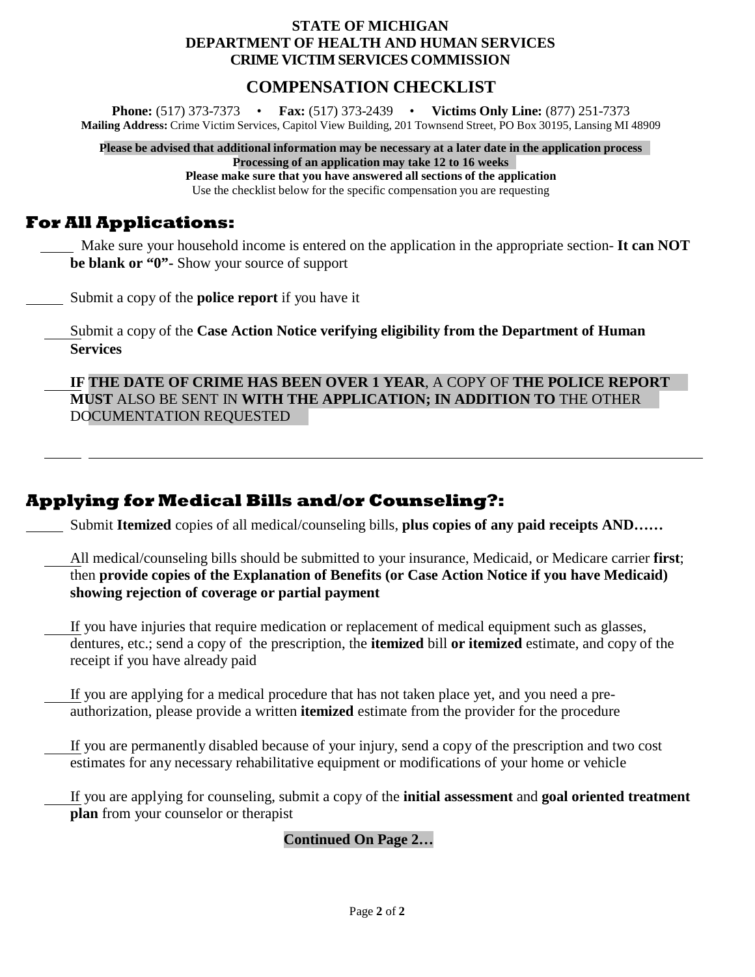### **STATE OF MICHIGAN DEPARTMENT OF HEALTH AND HUMAN SERVICES CRIME VICTIM SERVICES COMMISSION**

### **COMPENSATION CHECKLIST**

**Phone:** (517) 373-7373 • **Fax:** (517) 373-2439 • **Victims Only Line:** (877) 251-7373 **Mailing Address:** Crime Victim Services, Capitol View Building, 201 Townsend Street, PO Box 30195, Lansing MI 48909

**Please be advised that additional information may be necessary at a later date in the application process Processing of an application may take 12 to 16 weeks**

**Please make sure that you have answered all sections of the application** Use the checklist below for the specific compensation you are requesting

## **For All Applications:**

 Make sure your household income is entered on the application in the appropriate section- **It can NOT be blank or "0"-** Show your source of support

Submit a copy of the **police report** if you have it

Submit a copy of the **Case Action Notice verifying eligibility from the Department of Human Services**

**IF THE DATE OF CRIME HAS BEEN OVER 1 YEAR**, A COPY OF **THE POLICE REPORT MUST** ALSO BE SENT IN **WITH THE APPLICATION; IN ADDITION TO** THE OTHER DOCUMENTATION REQUESTED

## **Applying for Medical Bills and/or Counseling?:**

Submit **Itemized** copies of all medical/counseling bills, **plus copies of any paid receipts AND……**

All medical/counseling bills should be submitted to your insurance, Medicaid, or Medicare carrier **first**; then **provide copies of the Explanation of Benefits (or Case Action Notice if you have Medicaid) showing rejection of coverage or partial payment**

If you have injuries that require medication or replacement of medical equipment such as glasses, dentures, etc.; send a copy of the prescription, the **itemized** bill **or itemized** estimate, and copy of the receipt if you have already paid

If you are applying for a medical procedure that has not taken place yet, and you need a preauthorization, please provide a written **itemized** estimate from the provider for the procedure

If you are permanently disabled because of your injury, send a copy of the prescription and two cost estimates for any necessary rehabilitative equipment or modifications of your home or vehicle

If you are applying for counseling, submit a copy of the **initial assessment** and **goal oriented treatment plan** from your counselor or therapist

### **Continued On Page 2…**